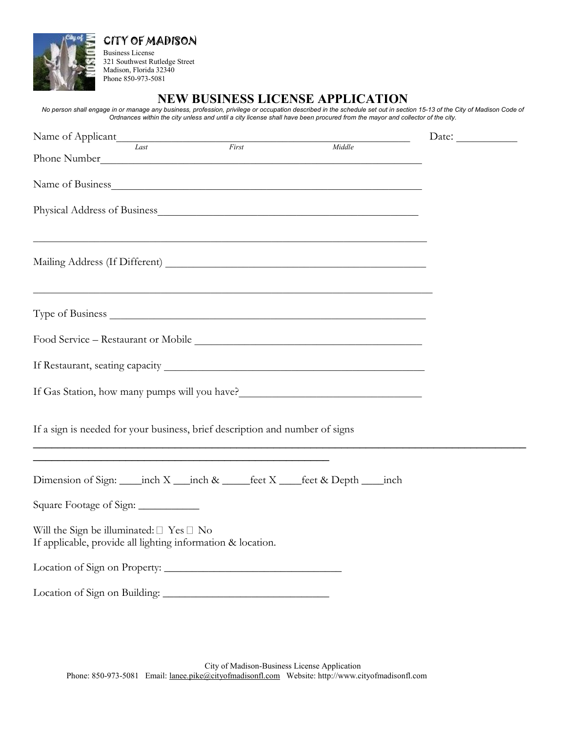

CITY OF MADISON Business License

321 Southwest Rutledge Street Madison, Florida 32340 Phone 850-973-5081

**NEW BUSINESS LICENSE APPLICATION**

No person shall engage in or manage any business, profession, privilege or occupation described in the schedule set out in section 15-13 of the City of Madison Code of Ordnances within the city unless and until a city license shall have been procured from the mayor and collector of the city.

| Name of Applicant                                                                                                      | Date: $\qquad \qquad$ |
|------------------------------------------------------------------------------------------------------------------------|-----------------------|
| Last<br>First<br>Middle<br>Phone Number<br><u> 1989 - Jan James James Barbara, martxa amerikan personal (h. 1989).</u> |                       |
| Name of Business                                                                                                       |                       |
|                                                                                                                        |                       |
|                                                                                                                        |                       |
|                                                                                                                        |                       |
|                                                                                                                        |                       |
|                                                                                                                        |                       |
| If Gas Station, how many pumps will you have?___________________________________                                       |                       |
| If a sign is needed for your business, brief description and number of signs                                           |                       |
| Dimension of Sign: _____ inch X ____ inch & ______feet X ____feet & Depth _____ inch                                   |                       |
| Square Footage of Sign:                                                                                                |                       |
| Will the Sign be illuminated: $\Box$ Yes $\Box$ No<br>If applicable, provide all lighting information & location.      |                       |
|                                                                                                                        |                       |
|                                                                                                                        |                       |